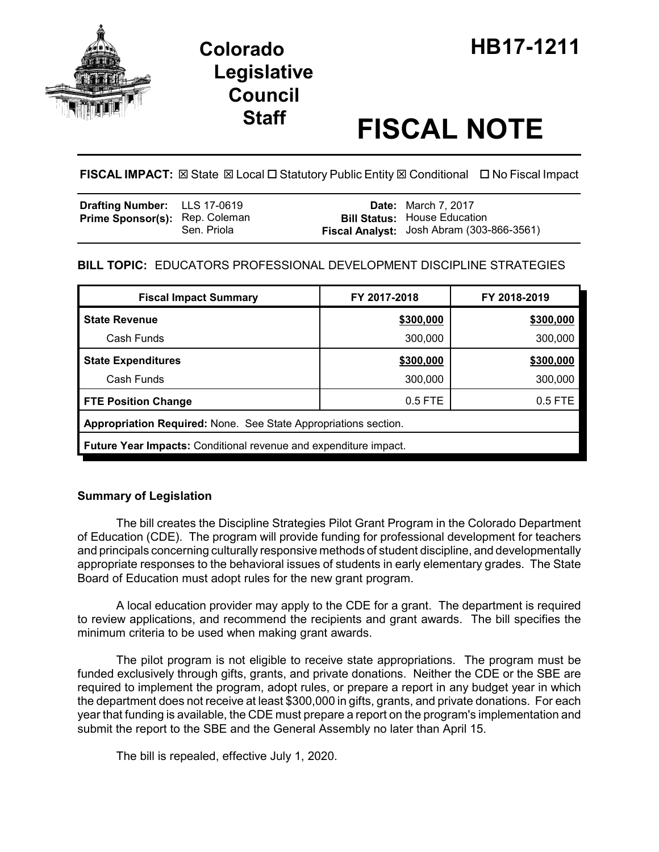

# **Legislative Council**

# **Staff FISCAL NOTE**

**FISCAL IMPACT:** ⊠ State ⊠ Local □ Statutory Public Entity ⊠ Conditional □ No Fiscal Impact

| <b>Drafting Number:</b> LLS 17-0619   |             | <b>Date:</b> March 7, 2017                                                       |
|---------------------------------------|-------------|----------------------------------------------------------------------------------|
| <b>Prime Sponsor(s): Rep. Coleman</b> | Sen. Priola | <b>Bill Status: House Education</b><br>Fiscal Analyst: Josh Abram (303-866-3561) |

## **BILL TOPIC:** EDUCATORS PROFESSIONAL DEVELOPMENT DISCIPLINE STRATEGIES

| <b>Fiscal Impact Summary</b>                                            | FY 2017-2018 | FY 2018-2019 |  |  |  |
|-------------------------------------------------------------------------|--------------|--------------|--|--|--|
| <b>State Revenue</b>                                                    | \$300,000    | \$300,000    |  |  |  |
| Cash Funds                                                              | 300,000      | 300,000      |  |  |  |
| <b>State Expenditures</b>                                               | \$300,000    | \$300,000    |  |  |  |
| Cash Funds                                                              | 300,000      | 300,000      |  |  |  |
| <b>FTE Position Change</b>                                              | $0.5$ FTE    | 0.5 FTE      |  |  |  |
| Appropriation Required: None. See State Appropriations section.         |              |              |  |  |  |
| <b>Future Year Impacts:</b> Conditional revenue and expenditure impact. |              |              |  |  |  |

### **Summary of Legislation**

The bill creates the Discipline Strategies Pilot Grant Program in the Colorado Department of Education (CDE). The program will provide funding for professional development for teachers and principals concerning culturally responsive methods of student discipline, and developmentally appropriate responses to the behavioral issues of students in early elementary grades. The State Board of Education must adopt rules for the new grant program.

A local education provider may apply to the CDE for a grant. The department is required to review applications, and recommend the recipients and grant awards. The bill specifies the minimum criteria to be used when making grant awards.

The pilot program is not eligible to receive state appropriations. The program must be funded exclusively through gifts, grants, and private donations. Neither the CDE or the SBE are required to implement the program, adopt rules, or prepare a report in any budget year in which the department does not receive at least \$300,000 in gifts, grants, and private donations. For each year that funding is available, the CDE must prepare a report on the program's implementation and submit the report to the SBE and the General Assembly no later than April 15.

The bill is repealed, effective July 1, 2020.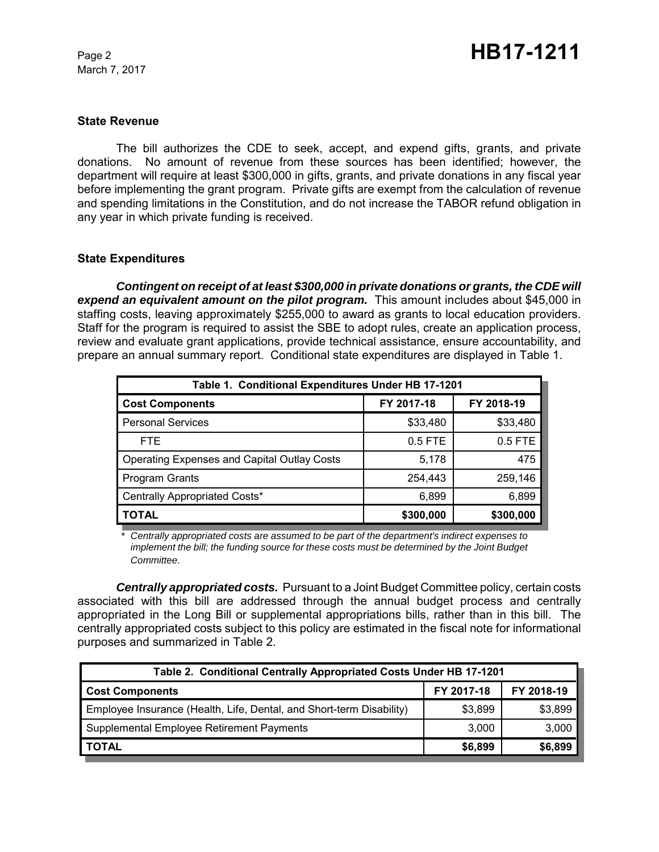March 7, 2017

#### **State Revenue**

The bill authorizes the CDE to seek, accept, and expend gifts, grants, and private donations. No amount of revenue from these sources has been identified; however, the department will require at least \$300,000 in gifts, grants, and private donations in any fiscal year before implementing the grant program. Private gifts are exempt from the calculation of revenue and spending limitations in the Constitution, and do not increase the TABOR refund obligation in any year in which private funding is received.

#### **State Expenditures**

*Contingent on receipt of at least \$300,000 in private donations or grants, the CDE will expend an equivalent amount on the pilot program.* This amount includes about \$45,000 in staffing costs, leaving approximately \$255,000 to award as grants to local education providers. Staff for the program is required to assist the SBE to adopt rules, create an application process, review and evaluate grant applications, provide technical assistance, ensure accountability, and prepare an annual summary report. Conditional state expenditures are displayed in Table 1.

| Table 1. Conditional Expenditures Under HB 17-1201 |            |            |  |  |  |
|----------------------------------------------------|------------|------------|--|--|--|
| <b>Cost Components</b>                             | FY 2017-18 | FY 2018-19 |  |  |  |
| <b>Personal Services</b>                           | \$33,480   | \$33,480   |  |  |  |
| <b>FTE</b>                                         | $0.5$ FTE  | 0.5 FTE    |  |  |  |
| <b>Operating Expenses and Capital Outlay Costs</b> | 5,178      | 475        |  |  |  |
| Program Grants                                     | 254,443    | 259,146    |  |  |  |
| Centrally Appropriated Costs*                      | 6,899      | 6,899      |  |  |  |
| <b>TOTAL</b>                                       | \$300,000  | \$300,000  |  |  |  |

*\* Centrally appropriated costs are assumed to be part of the department's indirect expenses to implement the bill; the funding source for these costs must be determined by the Joint Budget Committee.*

*Centrally appropriated costs.* Pursuant to a Joint Budget Committee policy, certain costs associated with this bill are addressed through the annual budget process and centrally appropriated in the Long Bill or supplemental appropriations bills, rather than in this bill. The centrally appropriated costs subject to this policy are estimated in the fiscal note for informational purposes and summarized in Table 2.

| Table 2. Conditional Centrally Appropriated Costs Under HB 17-1201   |            |            |  |  |  |
|----------------------------------------------------------------------|------------|------------|--|--|--|
| <b>Cost Components</b>                                               | FY 2017-18 | FY 2018-19 |  |  |  |
| Employee Insurance (Health, Life, Dental, and Short-term Disability) | \$3,899    | \$3,899    |  |  |  |
| Supplemental Employee Retirement Payments                            | 3.000      | 3,000      |  |  |  |
| <b>TOTAL</b>                                                         | \$6,899    | \$6,899    |  |  |  |